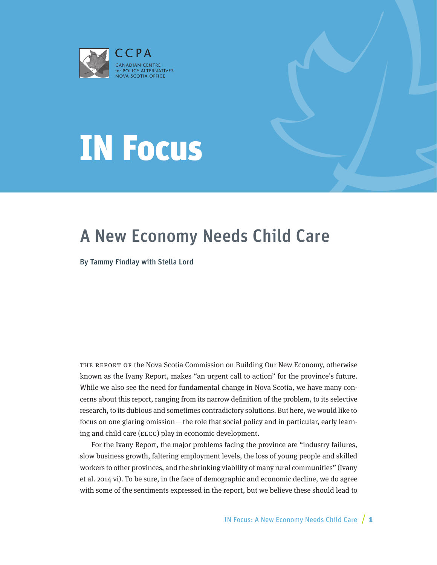



# A New Economy Needs Child Care

By Tammy Findlay with Stella Lord

The Report of the Nova Scotia Commission on Building Our New Economy, otherwise known as the Ivany Report, makes "an urgent call to action" for the province's future. While we also see the need for fundamental change in Nova Scotia, we have many concerns about this report, ranging from its narrow definition of the problem, to its selective research, to its dubious and sometimes contradictory solutions. But here, we would like to focus on one glaring omission—the role that social policy and in particular, early learning and child care (ELCC) play in economic development.

For the Ivany Report, the major problems facing the province are "industry failures, slow business growth, faltering employment levels, the loss of young people and skilled workers to other provinces, and the shrinking viability of many rural communities" (Ivany et al. 2014 vi). To be sure, in the face of demographic and economic decline, we do agree with some of the sentiments expressed in the report, but we believe these should lead to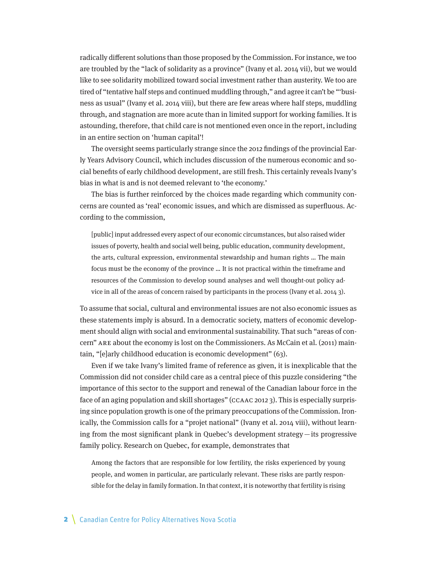radically different solutions than those proposed by the Commission. For instance, we too are troubled by the "lack of solidarity as a province" (Ivany et al. 2014 vii), but we would like to see solidarity mobilized toward social investment rather than austerity. We too are tired of "tentative half steps and continued muddling through," and agree it can't be "'business as usual" (Ivany et al. 2014 viii), but there are few areas where half steps, muddling through, and stagnation are more acute than in limited support for working families. It is astounding, therefore, that child care is not mentioned even once in the report, including in an entire section on 'human capital'!

The oversight seems particularly strange since the 2012 findings of the provincial Early Years Advisory Council, which includes discussion of the numerous economic and social benefits of early childhood development, are still fresh. This certainly reveals Ivany's bias in what is and is not deemed relevant to 'the economy.'

The bias is further reinforced by the choices made regarding which community concerns are counted as 'real' economic issues, and which are dismissed as superfluous. According to the commission,

[public] input addressed every aspect of our economic circumstances, but also raised wider issues of poverty, health and social well being, public education, community development, the arts, cultural expression, environmental stewardship and human rights … The main focus must be the economy of the province … It is not practical within the timeframe and resources of the Commission to develop sound analyses and well thought-out policy advice in all of the areas of concern raised by participants in the process (Ivany et al. 2014 3).

To assume that social, cultural and environmental issues are not also economic issues as these statements imply is absurd. In a democratic society, matters of economic development should align with social and environmental sustainability. That such "areas of concern" ARE about the economy is lost on the Commissioners. As McCain et al. (2011) maintain, "[e]arly childhood education is economic development" (63).

Even if we take Ivany's limited frame of reference as given, it is inexplicable that the Commission did not consider child care as a central piece of this puzzle considering "the importance of this sector to the support and renewal of the Canadian labour force in the face of an aging population and skill shortages" (CCAAC 2012 3). This is especially surprising since population growth is one of the primary preoccupations of the Commission. Ironically, the Commission calls for a "projet national" (Ivany et al. 2014 viii), without learning from the most significant plank in Quebec's development strategy—its progressive family policy. Research on Quebec, for example, demonstrates that

Among the factors that are responsible for low fertility, the risks experienced by young people, and women in particular, are particularly relevant. These risks are partly responsible for the delay in family formation. In that context, it is noteworthy that fertility is rising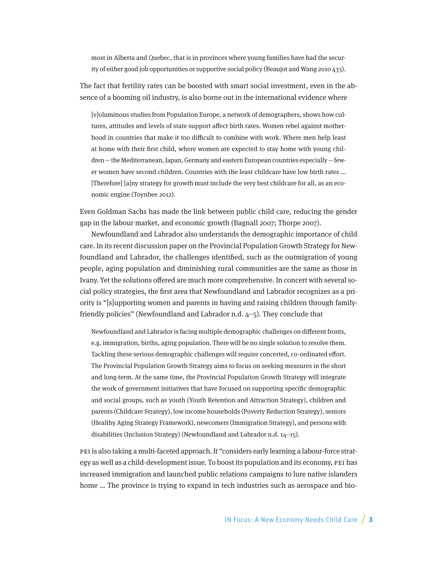most in Alberta and Quebec, that is in provinces where young families have had the security of either good job opportunities or supportive social policy (Beaujot and Wang 2010 433).

The fact that fertility rates can be boosted with smart social investment, even in the absence of a booming oil industry, is also borne out in the international evidence where

[v]oluminous studies from Population Europe, a network of demographers, shows how cultures, attitudes and levels of state support affect birth rates. Women rebel against motherhood in countries that make it too difficult to combine with work. Where men help least at home with their first child, where women are expected to stay home with young children—the Mediterranean, Japan, Germany and eastern European countries especially—fewer women have second children. Countries with the least childcare have low birth rates … [Therefore] [a]ny strategy for growth must include the very best childcare for all, as an economic engine (Toynbee 2012).

Even Goldman Sachs has made the link between public child care, reducing the gender gap in the labour market, and economic growth (Bagnall 2007; Thorpe 2007).

Newfoundland and Labrador also understands the demographic importance of child care. In its recent discussion paper on the Provincial Population Growth Strategy for Newfoundland and Labrador, the challenges identified, such as the outmigration of young people, aging population and diminishing rural communities are the same as those in Ivany. Yet the solutions offered are much more comprehensive. In concert with several social policy strategies, the first area that Newfoundland and Labrador recognizes as a priority is "[s]upporting women and parents in having and raising children through familyfriendly policies" (Newfoundland and Labrador n.d.  $4-5$ ). They conclude that

Newfoundland and Labrador is facing multiple demographic challenges on different fronts, e.g. immigration, births, aging population. There will be no single solution to resolve them. Tackling these serious demographic challenges will require concerted, co-ordinated effort. The Provincial Population Growth Strategy aims to focus on seeking measures in the short and long-term. At the same time, the Provincial Population Growth Strategy will integrate the work of government initiatives that have focused on supporting specific demographic and social groups, such as youth (Youth Retention and Attraction Strategy), children and parents (Childcare Strategy), low income households (Poverty Reduction Strategy), seniors (Healthy Aging Strategy Framework), newcomers (Immigration Strategy), and persons with disabilities (Inclusion Strategy) (Newfoundland and Labrador n.d. 14–15).

PEI is also taking a multi-faceted approach. It "considers early learning a labour-force strategy as well as a child-development issue. To boost its population and its economy, PEI has increased immigration and launched public relations campaigns to lure native islanders home … The province is trying to expand in tech industries such as aerospace and bio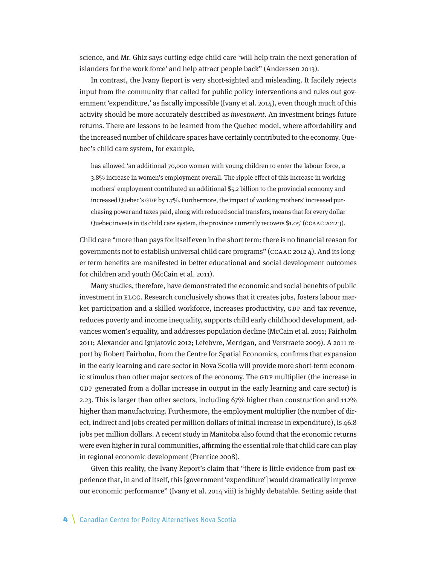science, and Mr. Ghiz says cutting-edge child care 'will help train the next generation of islanders for the work force' and help attract people back" (Anderssen 2013).

In contrast, the Ivany Report is very short-sighted and misleading. It facilely rejects input from the community that called for public policy interventions and rules out government 'expenditure,' as fiscally impossible (Ivany et al. 2014), even though much of this activity should be more accurately described as investment. An investment brings future returns. There are lessons to be learned from the Quebec model, where affordability and the increased number of childcare spaces have certainly contributed to the economy. Quebec's child care system, for example,

has allowed 'an additional 70,000 women with young children to enter the labour force, a 3.8% increase in women's employment overall. The ripple effect of this increase in working mothers' employment contributed an additional \$5.2 billion to the provincial economy and increased Quebec's GDP by 1.7%. Furthermore, the impact of working mothers' increased purchasing power and taxes paid, along with reduced social transfers, means that for every dollar Quebec invests in its child care system, the province currently recovers \$1.05' (CCAAC 2012 3).

Child care "more than pays for itself even in the short term: there is no financial reason for governments not to establish universal child care programs" (CCAAC 2012 4). And its longer term benefits are manifested in better educational and social development outcomes for children and youth (McCain et al. 2011).

Many studies, therefore, have demonstrated the economic and social benefits of public investment in ELCC. Research conclusively shows that it creates jobs, fosters labour market participation and a skilled workforce, increases productivity, GDP and tax revenue, reduces poverty and income inequality, supports child early childhood development, advances women's equality, and addresses population decline (McCain et al. 2011; Fairholm 2011; Alexander and Ignjatovic 2012; Lefebvre, Merrigan, and Verstraete 2009). A 2011 report by Robert Fairholm, from the Centre for Spatial Economics, confirms that expansion in the early learning and care sector in Nova Scotia will provide more short-term economic stimulus than other major sectors of the economy. The GDP multiplier (the increase in GDP generated from a dollar increase in output in the early learning and care sector) is 2.23. This is larger than other sectors, including 67% higher than construction and 112% higher than manufacturing. Furthermore, the employment multiplier (the number of direct, indirect and jobs created per million dollars of initial increase in expenditure), is 46.8 jobs per million dollars. A recent study in Manitoba also found that the economic returns were even higher in rural communities, affirming the essential role that child care can play in regional economic development (Prentice 2008).

Given this reality, the Ivany Report's claim that "there is little evidence from past experience that, in and of itself, this [government 'expenditure'] would dramatically improve our economic performance" (Ivany et al. 2014 viii) is highly debatable. Setting aside that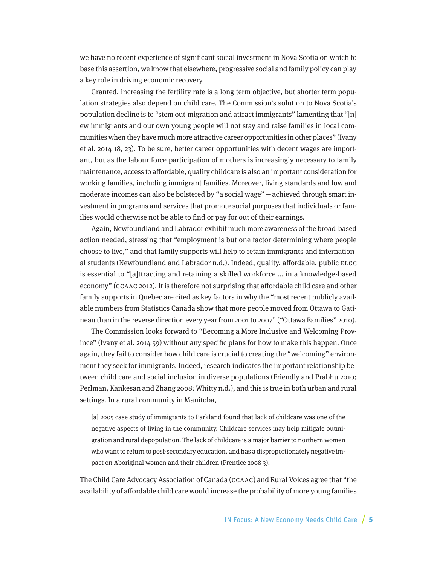we have no recent experience of significant social investment in Nova Scotia on which to base this assertion, we know that elsewhere, progressive social and family policy can play a key role in driving economic recovery.

Granted, increasing the fertility rate is a long term objective, but shorter term population strategies also depend on child care. The Commission's solution to Nova Scotia's population decline is to "stem out-migration and attract immigrants" lamenting that "[n] ew immigrants and our own young people will not stay and raise families in local communities when they have much more attractive career opportunities in other places" (Ivany et al. 2014 18, 23). To be sure, better career opportunities with decent wages are important, but as the labour force participation of mothers is increasingly necessary to family maintenance, access to affordable, quality childcare is also an important consideration for working families, including immigrant families. Moreover, living standards and low and moderate incomes can also be bolstered by "a social wage"—achieved through smart investment in programs and services that promote social purposes that individuals or families would otherwise not be able to find or pay for out of their earnings.

Again, Newfoundland and Labrador exhibit much more awareness of the broad-based action needed, stressing that "employment is but one factor determining where people choose to live," and that family supports will help to retain immigrants and international students (Newfoundland and Labrador n.d.). Indeed, quality, affordable, public ELCC is essential to "[a]ttracting and retaining a skilled workforce … in a knowledge-based economy" (CCAAC 2012). It is therefore not surprising that affordable child care and other family supports in Quebec are cited as key factors in why the "most recent publicly available numbers from Statistics Canada show that more people moved from Ottawa to Gatineau than in the reverse direction every year from 2001 to 2007" ("Ottawa Families" 2010).

The Commission looks forward to "Becoming a More Inclusive and Welcoming Province" (Ivany et al. 2014 59) without any specific plans for how to make this happen. Once again, they fail to consider how child care is crucial to creating the "welcoming" environment they seek for immigrants. Indeed, research indicates the important relationship between child care and social inclusion in diverse populations (Friendly and Prabhu 2010; Perlman, Kankesan and Zhang 2008; Whitty n.d.), and this is true in both urban and rural settings. In a rural community in Manitoba,

[a] 2005 case study of immigrants to Parkland found that lack of childcare was one of the negative aspects of living in the community. Childcare services may help mitigate outmigration and rural depopulation. The lack of childcare is a major barrier to northern women who want to return to post-secondary education, and has a disproportionately negative impact on Aboriginal women and their children (Prentice 2008 3).

The Child Care Advocacy Association of Canada (CCAAC) and Rural Voices agree that "the availability of affordable child care would increase the probability of more young families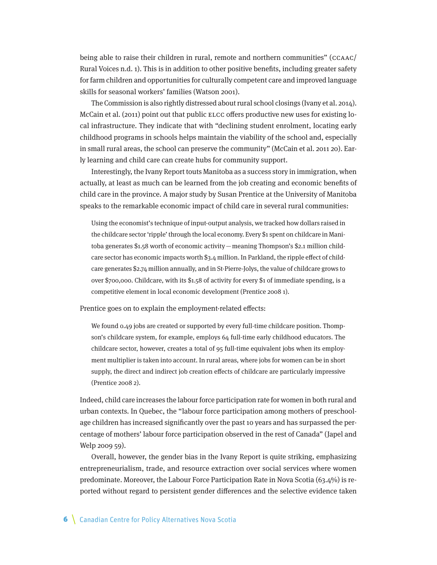being able to raise their children in rural, remote and northern communities" (CCAAC/ Rural Voices n.d. 1). This is in addition to other positive benefits, including greater safety for farm children and opportunities for culturally competent care and improved language skills for seasonal workers' families (Watson 2001).

The Commission is also rightly distressed about rural school closings (Ivany et al. 2014). McCain et al. (2011) point out that public ELCC offers productive new uses for existing local infrastructure. They indicate that with "declining student enrolment, locating early childhood programs in schools helps maintain the viability of the school and, especially in small rural areas, the school can preserve the community" (McCain et al. 2011 20). Early learning and child care can create hubs for community support.

Interestingly, the Ivany Report touts Manitoba as a success story in immigration, when actually, at least as much can be learned from the job creating and economic benefits of child care in the province. A major study by Susan Prentice at the University of Manitoba speaks to the remarkable economic impact of child care in several rural communities:

Using the economist's technique of input-output analysis, we tracked how dollars raised in the childcare sector 'ripple' through the local economy. Every \$1 spent on childcare in Manitoba generates \$1.58 worth of economic activity—meaning Thompson's \$2.1 million childcare sector has economic impacts worth \$3.4 million. In Parkland, the ripple effect of childcare generates \$2.74 million annually, and in St-Pierre-Jolys, the value of childcare grows to over \$700,000. Childcare, with its \$1.58 of activity for every \$1 of immediate spending, is a competitive element in local economic development (Prentice 2008 1).

Prentice goes on to explain the employment-related effects:

We found 0.49 jobs are created or supported by every full-time childcare position. Thompson's childcare system, for example, employs 64 full-time early childhood educators. The childcare sector, however, creates a total of 95 full-time equivalent jobs when its employment multiplier is taken into account. In rural areas, where jobs for women can be in short supply, the direct and indirect job creation effects of childcare are particularly impressive (Prentice 2008 2).

Indeed, child care increases the labour force participation rate for women in both rural and urban contexts. In Quebec, the "labour force participation among mothers of preschoolage children has increased significantly over the past 10 years and has surpassed the percentage of mothers' labour force participation observed in the rest of Canada" (Japel and Welp 2009 59).

Overall, however, the gender bias in the Ivany Report is quite striking, emphasizing entrepreneurialism, trade, and resource extraction over social services where women predominate. Moreover, the Labour Force Participation Rate in Nova Scotia (63.4%) is reported without regard to persistent gender differences and the selective evidence taken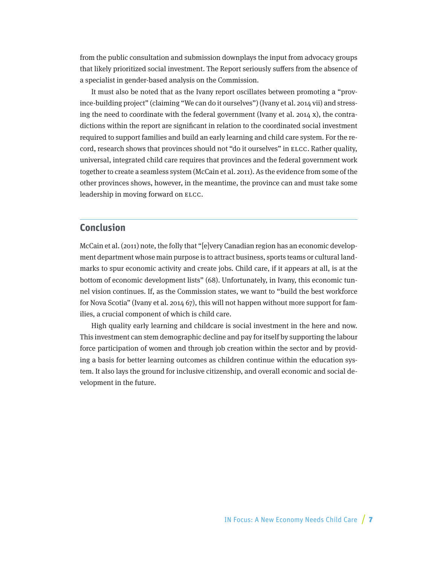from the public consultation and submission downplays the input from advocacy groups that likely prioritized social investment. The Report seriously suffers from the absence of a specialist in gender-based analysis on the Commission.

It must also be noted that as the Ivany report oscillates between promoting a "province-building project" (claiming "We can do it ourselves") (Ivany et al. 2014 vii) and stressing the need to coordinate with the federal government (Ivany et al. 2014 x), the contradictions within the report are significant in relation to the coordinated social investment required to support families and build an early learning and child care system. For the record, research shows that provinces should not "do it ourselves" in ELCC. Rather quality, universal, integrated child care requires that provinces and the federal government work together to create a seamless system (McCain et al. 2011). As the evidence from some of the other provinces shows, however, in the meantime, the province can and must take some leadership in moving forward on ELCC.

#### **Conclusion**

McCain et al. (2011) note, the folly that "[e]very Canadian region has an economic development department whose main purpose is to attract business, sports teams or cultural landmarks to spur economic activity and create jobs. Child care, if it appears at all, is at the bottom of economic development lists" (68). Unfortunately, in Ivany, this economic tunnel vision continues. If, as the Commission states, we want to "build the best workforce for Nova Scotia" (Ivany et al. 2014 67), this will not happen without more support for families, a crucial component of which is child care.

High quality early learning and childcare is social investment in the here and now. This investment can stem demographic decline and pay for itself by supporting the labour force participation of women and through job creation within the sector and by providing a basis for better learning outcomes as children continue within the education system. It also lays the ground for inclusive citizenship, and overall economic and social development in the future.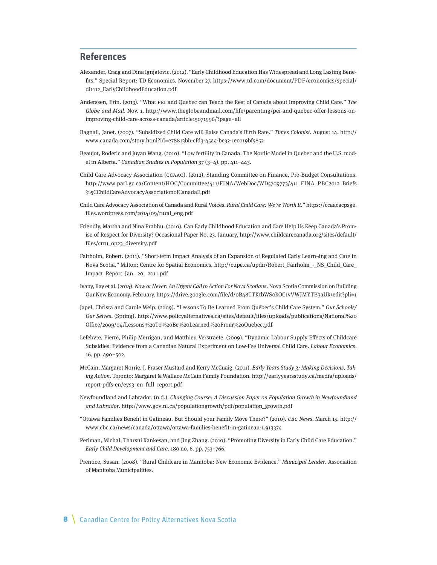### **References**

- Alexander, Craig and Dina Ignjatovic. (2012). "Early Childhood Education Has Widespread and Long Lasting Benefits." Special Report: TD Economics. November 27. https://www.td.com/document/PDF/economics/special/ di1112\_EarlyChildhoodEducation.pdf
- Anderssen, Erin. (2013). "What PEI and Quebec can Teach the Rest of Canada about Improving Child Care." The Globe and Mail. Nov. 1. http://www.theglobeandmail.com/life/parenting/pei-and-quebec-offer-lessons-onimproving-child-care-across-canada/article15071996/?page=all
- Bagnall, Janet. (2007). "Subsidized Child Care will Raise Canada's Birth Rate." Times Colonist. August 14. http:// www.canada.com/story.html?id=e78813bb-cfd3-45a4-be32-1ec019bf5852
- Beaujot, Roderic and Juyan Wang. (2010). "Low fertility in Canada: The Nordic Model in Quebec and the U.S. model in Alberta." Canadian Studies in Population 37 (3-4). pp. 411-443.
- Child Care Advocacy Association (CCAAC). (2012). Standing Committee on Finance, Pre-Budget Consultations. http://www.parl.gc.ca/Content/HOC/Committee/411/FINA/WebDoc/WD5709773/411\_FINA\_PBC2012\_Briefs %5CChildCareAdvocacyAssociationofCanadaE.pdf
- Child Care Advocacy Association of Canada and Rural Voices. Rural Child Care: We're Worth It." https://ccaacacpsge. files.wordpress.com/2014/09/rural\_eng.pdf
- Friendly, Martha and Nina Prabhu. (2010). Can Early Childhood Education and Care Help Us Keep Canada's Promise of Respect for Diversity? Occasional Paper No. 23. January. http://www.childcarecanada.org/sites/default/ files/crru\_op23\_diversity.pdf
- Fairholm, Robert. (2011). "Short-term Impact Analysis of an Expansion of Regulated Early Learn-ing and Care in Nova Scotia." Milton: Centre for Spatial Economics. http://cupe.ca/updir/Robert\_Fairholm\_-\_NS\_Child\_Care\_ Impact\_Report\_Jan.\_20,\_2011.pdf
- Ivany, Ray et al. (2014). Now or Never: An Urgent Call to Action For Nova Scotians. Nova Scotia Commission on Building Our New Economy. February. https://drive.google.com/file/d/0B48TTKtbWS0kOC1vVWJMYTB3aUk/edit?pli=1
- Japel, Christa and Carole Welp. (2009). "Lessons To Be Learned From Québec's Child Care System." Our Schools/ Our Selves. (Spring). http://www.policyalternatives.ca/sites/default/files/uploads/publications/National%20 Office/2009/04/Lessons%20To%20Be%20Learned%20From%20Quebec.pdf
- Lefebvre, Pierre, Philip Merrigan, and Matthieu Verstraete. (2009). "Dynamic Labour Supply Effects of Childcare Subsidies: Evidence from a Canadian Natural Experiment on Low-Fee Universal Child Care. Labour Economics. 16. pp. 490–502.
- McCain, Margaret Norrie, J. Fraser Mustard and Kerry McCuaig. (2011). Early Years Study 3: Making Decisions, Taking Action. Toronto: Margaret & Wallace McCain Family Foundation. http://earlyyearsstudy.ca/media/uploads/ report-pdfs-en/eys3\_en\_full\_report.pdf
- Newfoundland and Labrador. (n.d.). Changing Course: A Discussion Paper on Population Growth in Newfoundland and Labrador. http://www.gov.nl.ca/populationgrowth/pdf/population\_growth.pdf
- "Ottawa Families Benefit in Gatineau. But Should your Family Move There?" (2010). CBC News. March 15. http:// www.cbc.ca/news/canada/ottawa/ottawa-families-benefit-in-gatineau-1.913374
- Perlman, Michal, Tharsni Kankesan, and Jing Zhang. (2010). "Promoting Diversity in Early Child Care Education." Early Child Development and Care. 180 no. 6. pp. 753–766.
- Prentice, Susan. (2008). "Rural Childcare in Manitoba: New Economic Evidence." Municipal Leader. Association of Manitoba Municipalities.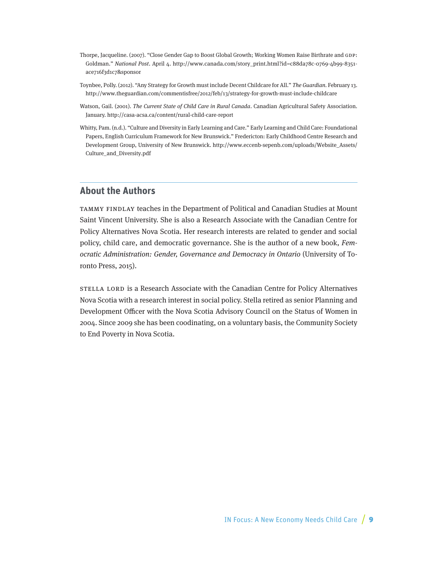- Thorpe, Jacqueline. (2007). "Close Gender Gap to Boost Global Growth; Working Women Raise Birthrate and GDP: Goldman." National Post. April 4. http://www.canada.com/story\_print.html?id=c88da78c-0769-4b99-8351 ace716f3d1c7&sponsor
- Toynbee, Polly. (2012). "Any Strategy for Growth must include Decent Childcare for All." The Guardian. February 13. http://www.theguardian.com/commentisfree/2012/feb/13/strategy-for-growth-must-include-childcare
- Watson, Gail. (2001). The Current State of Child Care in Rural Canada. Canadian Agricultural Safety Association. January. http://casa-acsa.ca/content/rural-child-care-report
- Whitty, Pam. (n.d.). "Culture and Diversity in Early Learning and Care." Early Learning and Child Care: Foundational Papers, English Curriculum Framework for New Brunswick." Fredericton: Early Childhood Centre Research and Development Group, University of New Brunswick. http://www.eccenb-sepenb.com/uploads/Website\_Assets/ Culture\_and\_Diversity.pdf

#### **About the Authors**

Tammy Findlay teaches in the Department of Political and Canadian Studies at Mount Saint Vincent University. She is also a Research Associate with the Canadian Centre for Policy Alternatives Nova Scotia. Her research interests are related to gender and social policy, child care, and democratic governance. She is the author of a new book, Femocratic Administration: Gender, Governance and Democracy in Ontario (University of Toronto Press, 2015).

Stella Lord is a Research Associate with the Canadian Centre for Policy Alternatives Nova Scotia with a research interest in social policy. Stella retired as senior Planning and Development Officer with the Nova Scotia Advisory Council on the Status of Women in 2004. Since 2009 she has been coodinating, on a voluntary basis, the Community Society to End Poverty in Nova Scotia.